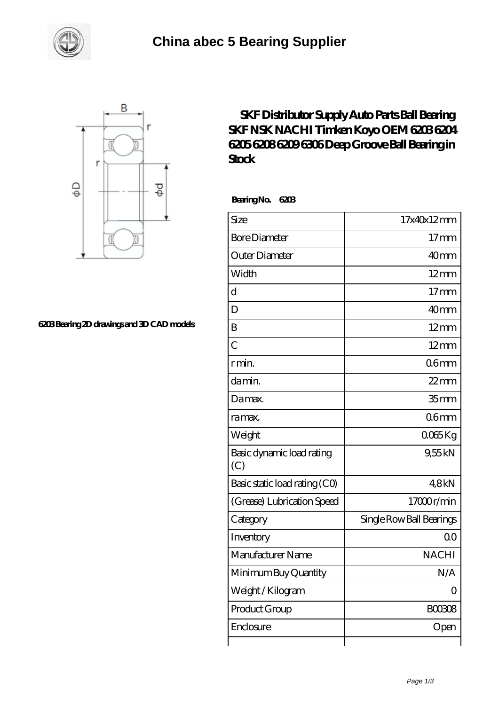



## **[6203 Bearing 2D drawings and 3D CAD models](https://m.smokehousewinery.com/pic-563868.html)**

## **[SKF Distributor Supply Auto Parts Ball Bearing](https://m.smokehousewinery.com/koyo-6205-bearing/skf-distributor-supply-auto-parts-ball-bearing-skf-nsk-nachi-timken-koyo-oem-6203-6204-6205-6208-6209-6306-deep-groove-ball-bearing-in-stock.html) [SKF NSK NACHI Timken Koyo OEM 6203 6204](https://m.smokehousewinery.com/koyo-6205-bearing/skf-distributor-supply-auto-parts-ball-bearing-skf-nsk-nachi-timken-koyo-oem-6203-6204-6205-6208-6209-6306-deep-groove-ball-bearing-in-stock.html) [6205 6208 6209 6306 Deep Groove Ball Bearing in](https://m.smokehousewinery.com/koyo-6205-bearing/skf-distributor-supply-auto-parts-ball-bearing-skf-nsk-nachi-timken-koyo-oem-6203-6204-6205-6208-6209-6306-deep-groove-ball-bearing-in-stock.html) [Stock](https://m.smokehousewinery.com/koyo-6205-bearing/skf-distributor-supply-auto-parts-ball-bearing-skf-nsk-nachi-timken-koyo-oem-6203-6204-6205-6208-6209-6306-deep-groove-ball-bearing-in-stock.html)**

 **Bearing No. 6203**

| Size                             | 17x40x12mm               |
|----------------------------------|--------------------------|
| <b>Bore Diameter</b>             | $17$ mm                  |
| Outer Diameter                   | 40mm                     |
| Width                            | $12 \text{mm}$           |
| $\overline{\rm d}$               | 17 <sub>mm</sub>         |
| D                                | 40mm                     |
| B                                | $12 \text{mm}$           |
| $\overline{C}$                   | $12 \text{mm}$           |
| r min.                           | 06 <sub>mm</sub>         |
| da min.                          | $22$ mm                  |
| Damax.                           | 35 <sub>mm</sub>         |
| ra max.                          | 06 <sub>mm</sub>         |
| Weight                           | $0065$ Kg                |
| Basic dynamic load rating<br>(C) | 9,55kN                   |
| Basic static load rating (CO)    | 48kN                     |
| (Grease) Lubrication Speed       | 17000r/min               |
| Category                         | Single Row Ball Bearings |
| Inventory                        | 0 <sup>0</sup>           |
| Manufacturer Name                | <b>NACHI</b>             |
| Minimum Buy Quantity             | N/A                      |
| Weight/Kilogram                  | $\overline{O}$           |
| Product Group                    | <b>BOO308</b>            |
| Enclosure                        | Open                     |
|                                  |                          |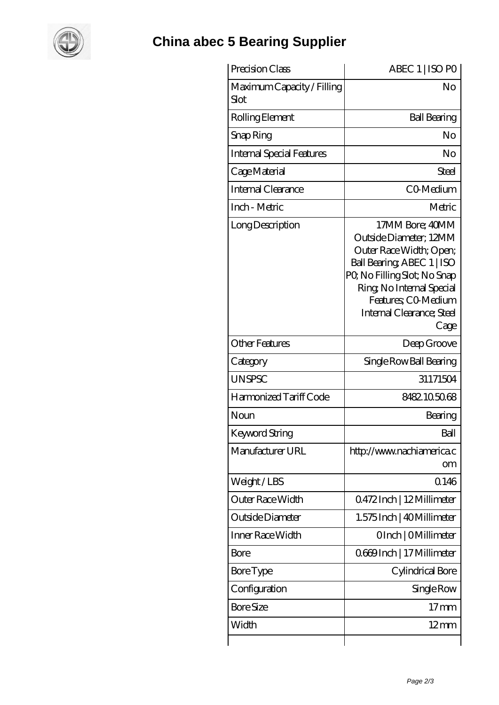

## **[China abec 5 Bearing Supplier](https://m.smokehousewinery.com)**

| Precision Class                    | ABEC 1   ISO PO                                                                                                                                                                                                            |
|------------------------------------|----------------------------------------------------------------------------------------------------------------------------------------------------------------------------------------------------------------------------|
| Maximum Capacity / Filling<br>Slot | No                                                                                                                                                                                                                         |
| Rolling Element                    | <b>Ball Bearing</b>                                                                                                                                                                                                        |
| Snap Ring                          | No                                                                                                                                                                                                                         |
| Internal Special Features          | No                                                                                                                                                                                                                         |
| Cage Material                      | Steel                                                                                                                                                                                                                      |
| Internal Clearance                 | CO-Medium                                                                                                                                                                                                                  |
| Inch - Metric                      | Metric                                                                                                                                                                                                                     |
| Long Description                   | 17MM Bore; 40MM<br>Outside Diameter; 12MM<br>Outer Race Width; Open;<br>Ball Bearing, ABEC 1   ISO<br>PQ No Filling Slot; No Snap<br>Ring, No Internal Special<br>Features; CO Medium<br>Internal Clearance; Steel<br>Cage |
| <b>Other Features</b>              | Deep Groove                                                                                                                                                                                                                |
| Category                           | Single Row Ball Bearing                                                                                                                                                                                                    |
| <b>UNSPSC</b>                      | 31171504                                                                                                                                                                                                                   |
| Harmonized Tariff Code             | 8482105068                                                                                                                                                                                                                 |
| Noun                               | Bearing                                                                                                                                                                                                                    |
| Keyword String                     | Ball                                                                                                                                                                                                                       |
| Manufacturer URL                   | http://www.nachiamerica.c<br>om                                                                                                                                                                                            |
| Weight/LBS                         | 0.146                                                                                                                                                                                                                      |
| Outer Race Width                   | Q472Inch   12Millimeter                                                                                                                                                                                                    |
| Outside Diameter                   | 1.575 Inch   40 Millimeter                                                                                                                                                                                                 |
| Inner Race Width                   | OInch   OMillimeter                                                                                                                                                                                                        |
| Bore                               | 0669Inch   17 Millimeter                                                                                                                                                                                                   |
| <b>Bore Type</b>                   | Cylindrical Bore                                                                                                                                                                                                           |
| Configuration                      | Single Row                                                                                                                                                                                                                 |
| <b>Bore Size</b>                   | $17 \,\mathrm{mm}$                                                                                                                                                                                                         |
| Width                              | $12 \text{mm}$                                                                                                                                                                                                             |
|                                    |                                                                                                                                                                                                                            |